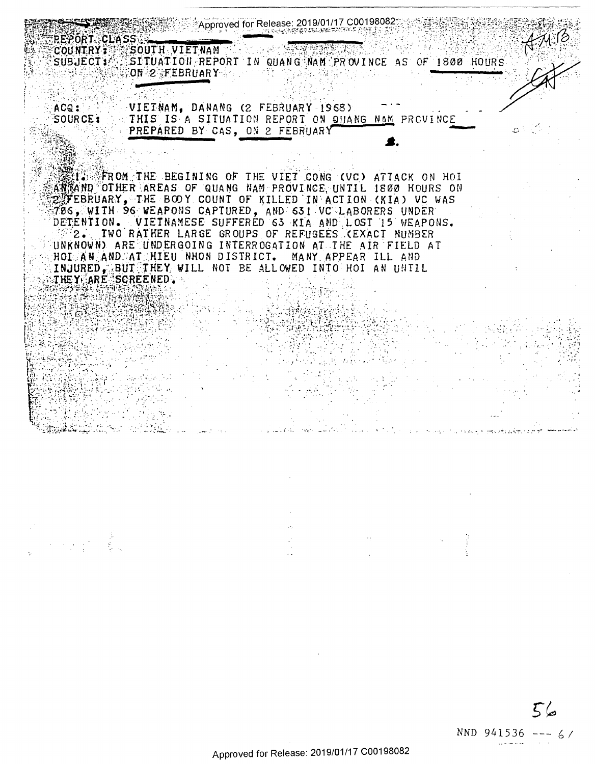| <b>REPORT CLASS</b>                  | Approved for Release: 2019/01/17 C00198082                                                                                                                                                |  |
|--------------------------------------|-------------------------------------------------------------------------------------------------------------------------------------------------------------------------------------------|--|
| <b>COUNTRY 3</b><br><b>SUBJECT12</b> | MB<br>SOUTH VIETNAM<br>SITUATION REPORT IN QUANG NAM PROVINCE AS OF 1800 HOURS<br>ON 2 FEBRUARY                                                                                           |  |
|                                      |                                                                                                                                                                                           |  |
| ACQ:<br>SOURCE:                      | VIETNAM, DANANG (2 FEBRUARY 1968).<br>THIS IS A SITUATION REPORT ON QUANG NAM PROVINCE<br>PREPARED BY CAS, ON 2 FEBRUARY                                                                  |  |
|                                      |                                                                                                                                                                                           |  |
|                                      | 瑟は第○字FROM THE BEGINING OF THE VIET CONG (VC) ATTACK ON HOI<br>ARTAND OTHER AREAS OF QUANG NAM PROVINCE UNTIL 1800 HOURS ON<br>Z FEBRUARY, THE BOOY COUNT OF KILLED IN ACTION (KIA) VC WAS |  |
|                                      | 706, WITH 96 WEAPONS CAPTURED, AND 631 VC LABORERS UNDER<br>DETENTION. VIETNAMESE SUFFERED 63 KIA AND LOST 15 WEAPONS.                                                                    |  |
|                                      | 2. TWO RATHER LARGE GROUPS OF REFUGEES (EXACT NUMBER<br>UNKNOWN) ARE UNDERGOING INTERROGATION AT THE AIR FIELD AT                                                                         |  |
|                                      | HOI AN AND AT HIEU NHON DISTRICT. MANY APPEAR ILL AND<br>INJURED. BUTETHEY WILL NOT BE ALLOWED INTO HOI AN UNTIL                                                                          |  |
| THEY ARE SCREENED.                   |                                                                                                                                                                                           |  |
|                                      |                                                                                                                                                                                           |  |
|                                      |                                                                                                                                                                                           |  |
|                                      |                                                                                                                                                                                           |  |
|                                      |                                                                                                                                                                                           |  |
|                                      |                                                                                                                                                                                           |  |
|                                      |                                                                                                                                                                                           |  |
|                                      |                                                                                                                                                                                           |  |
|                                      |                                                                                                                                                                                           |  |

 $\hat{\phi}$  ,  $\hat{\phi}$ 

 $56$ NND 941536 --- 6/

 $\label{eq:2.1} \frac{d\mathbf{r}}{dt} = \frac{d\mathbf{r}}{dt} \left[ \frac{d\mathbf{r}}{dt} - \frac{d\mathbf{r}}{dt} \right] \left[ \frac{d\mathbf{r}}{dt} - \frac{d\mathbf{r}}{dt} \right] \, ,$ 

 $\frac{1}{2}$ 

 $\sim$